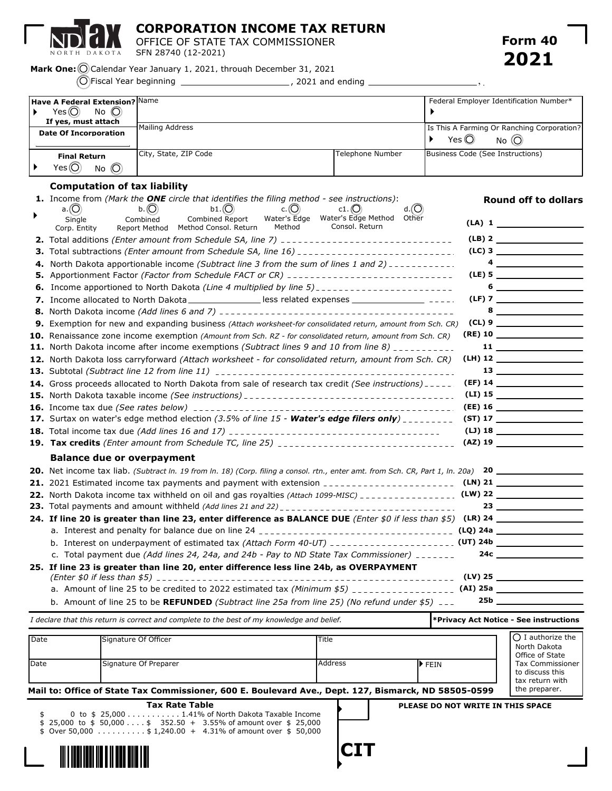

**CORPORATION INCOME TAX RETURN**

OFFICE OF STATE TAX COMMISSIONER SFN 28740 (12-2021)

 $\overline{\phantom{a}}$ ,  $\overline{\phantom{a}}$ 

Mark One: O Calendar Year January 1, 2021, through December 31, 2021

Fiscal Year beginning , 2021 and ending

| Have A Federal Extension? Name                                                |                       |                                                                           | Federal Employer Identification Number* |
|-------------------------------------------------------------------------------|-----------------------|---------------------------------------------------------------------------|-----------------------------------------|
| Yes $\circledcirc$<br>No $\circledcirc$                                       |                       |                                                                           |                                         |
| If yes, must attach<br><b>Mailing Address</b><br><b>Date Of Incorporation</b> |                       | Is This A Farming Or Ranching Corporation?<br>Yes $\odot$<br>$No$ $\odot$ |                                         |
| <b>Final Return</b><br>Yes $\widehat{C}$<br>$No$ $\odot$                      | City, State, ZIP Code | Telephone Number                                                          | Business Code (See Instructions)        |

## **Computation of tax liability**

|    | <b>1.</b> Income from (Mark the <b>ONE</b> circle that identifies the filing method - see instructions):<br>$c.$ (C)<br>$d.(\bigcirc)$<br>a. $(O)$<br>$b1.(\bigcirc)$<br>b. (C)<br>$c1.$ (C) | <b>Round off to dollars</b>                                                                                                                                                                                                                                                                                                                                                                 |
|----|----------------------------------------------------------------------------------------------------------------------------------------------------------------------------------------------|---------------------------------------------------------------------------------------------------------------------------------------------------------------------------------------------------------------------------------------------------------------------------------------------------------------------------------------------------------------------------------------------|
|    | Water's Edge  Water's Edge Method  Other<br>Combined Report<br>Single<br>Combined<br>Consol, Return<br>Method<br>Report Method Method Consol. Return<br>Corp. Entity                         | $(LA)$ 1                                                                                                                                                                                                                                                                                                                                                                                    |
|    |                                                                                                                                                                                              | $(LB)$ 2                                                                                                                                                                                                                                                                                                                                                                                    |
|    |                                                                                                                                                                                              | $(LC)$ 3                                                                                                                                                                                                                                                                                                                                                                                    |
| 4. | North Dakota apportionable income (Subtract line 3 from the sum of lines 1 and 2) $\frac{1}{2}$                                                                                              | $\overline{\mathbf{a}}$                                                                                                                                                                                                                                                                                                                                                                     |
| 5. | Apportionment Factor (Factor from Schedule FACT or CR) __________________________                                                                                                            |                                                                                                                                                                                                                                                                                                                                                                                             |
|    | <b>6.</b> Income apportioned to North Dakota (Line 4 multiplied by line 5) _______________________                                                                                           | $\begin{picture}(20,10) \put(0,0){\dashbox{0.5}(5,0){ }} \put(15,0){\circle{10}} \put(15,0){\circle{10}} \put(15,0){\circle{10}} \put(15,0){\circle{10}} \put(15,0){\circle{10}} \put(15,0){\circle{10}} \put(15,0){\circle{10}} \put(15,0){\circle{10}} \put(15,0){\circle{10}} \put(15,0){\circle{10}} \put(15,0){\circle{10}} \put(15,0){\circle{10}} \put(15,0){\circle{10}} \put(15,0$ |
|    | 7. Income allocated to North Dakota _________________ less related expenses __________________ ----.                                                                                         |                                                                                                                                                                                                                                                                                                                                                                                             |
|    |                                                                                                                                                                                              | $8 \overline{\phantom{a}}$                                                                                                                                                                                                                                                                                                                                                                  |
|    | 9. Exemption for new and expanding business (Attach worksheet-for consolidated return, amount from Sch. CR)                                                                                  |                                                                                                                                                                                                                                                                                                                                                                                             |
|    | 10. Renaissance zone income exemption (Amount from Sch. RZ - for consolidated return, amount from Sch. CR)                                                                                   | $(RE)$ 10                                                                                                                                                                                                                                                                                                                                                                                   |
|    | 11. North Dakota income after income exemptions (Subtract lines 9 and 10 from line 8) ___________                                                                                            | $11 \quad \overbrace{\qquad \qquad }$                                                                                                                                                                                                                                                                                                                                                       |
|    | 12. North Dakota loss carryforward (Attach worksheet - for consolidated return, amount from Sch. CR)                                                                                         |                                                                                                                                                                                                                                                                                                                                                                                             |
|    |                                                                                                                                                                                              |                                                                                                                                                                                                                                                                                                                                                                                             |
|    | 14. Gross proceeds allocated to North Dakota from sale of research tax credit (See instructions) - - - - -                                                                                   |                                                                                                                                                                                                                                                                                                                                                                                             |
|    |                                                                                                                                                                                              | $(LI)$ 15                                                                                                                                                                                                                                                                                                                                                                                   |
|    |                                                                                                                                                                                              | $(EE)$ 16                                                                                                                                                                                                                                                                                                                                                                                   |
|    | 17. Surtax on water's edge method election (3.5% of line 15 - Water's edge filers only) ________                                                                                             |                                                                                                                                                                                                                                                                                                                                                                                             |
|    |                                                                                                                                                                                              | $(LJ)$ 18 $\qquad \qquad$                                                                                                                                                                                                                                                                                                                                                                   |
|    |                                                                                                                                                                                              | $(AZ)$ 19                                                                                                                                                                                                                                                                                                                                                                                   |
|    | <b>Balance due or overpayment</b>                                                                                                                                                            |                                                                                                                                                                                                                                                                                                                                                                                             |
|    | <b>20.</b> Net income tax liab. (Subtract In. 19 from In. 18) (Corp. filing a consol. rtn., enter amt. from Sch. CR, Part 1, In. 20a) $\overline{20}$                                        |                                                                                                                                                                                                                                                                                                                                                                                             |
|    |                                                                                                                                                                                              |                                                                                                                                                                                                                                                                                                                                                                                             |
|    |                                                                                                                                                                                              |                                                                                                                                                                                                                                                                                                                                                                                             |
|    |                                                                                                                                                                                              |                                                                                                                                                                                                                                                                                                                                                                                             |
|    |                                                                                                                                                                                              |                                                                                                                                                                                                                                                                                                                                                                                             |
|    |                                                                                                                                                                                              |                                                                                                                                                                                                                                                                                                                                                                                             |
|    |                                                                                                                                                                                              |                                                                                                                                                                                                                                                                                                                                                                                             |
|    | c. Total payment due (Add lines 24, 24a, and 24b - Pay to ND State Tax Commissioner) _______                                                                                                 | 24c                                                                                                                                                                                                                                                                                                                                                                                         |
|    | 25. If line 23 is greater than line 20, enter difference less line 24b, as OVERPAYMENT                                                                                                       | $(LV)$ 25                                                                                                                                                                                                                                                                                                                                                                                   |
|    |                                                                                                                                                                                              |                                                                                                                                                                                                                                                                                                                                                                                             |
|    | b. Amount of line 25 to be REFUNDED (Subtract line 25a from line 25) (No refund under \$5) $\overline{a}$                                                                                    | 25b                                                                                                                                                                                                                                                                                                                                                                                         |
|    |                                                                                                                                                                                              |                                                                                                                                                                                                                                                                                                                                                                                             |

|      | I declare that this return is correct and complete to the best of my knowledge and belief. |         |                            | <b>Privacy Act Notice - See instructions</b>                  |
|------|--------------------------------------------------------------------------------------------|---------|----------------------------|---------------------------------------------------------------|
| Date | Signature Of Officer                                                                       | 'Title  |                            | $\bigcap$ I authorize the<br>North Dakota<br>Office of State  |
| Date | Signature Of Preparer                                                                      | Address | $\blacktriangleright$ FEIN | <b>Tax Commissioner</b><br>to discuss this<br>tax return with |

**CIT**

 $\blacktriangleright$ 

 $\blacktriangleright$ 

**Mail to: Office of State Tax Commissioner, 600 E. Boulevard Ave., Dept. 127, Bismarck, ND 58505-0599**

**PLEASE DO NOT WRITE IN THIS SPACE**

the preparer.

| Tax Rate Table                                                               |  |  |  |  |
|------------------------------------------------------------------------------|--|--|--|--|
| $\frac{1}{2}$ 0 to $\frac{1}{2}$ 25,000 1.41% of North Dakota Taxable Income |  |  |  |  |
| \$ 25,000 to \$ 50,000\$ 352.50 + 3.55% of amount over \$ 25,000             |  |  |  |  |
| \$  Over 50,000  \$ 1,240.00  +   4.31% of amount over  \$  50,000           |  |  |  |  |

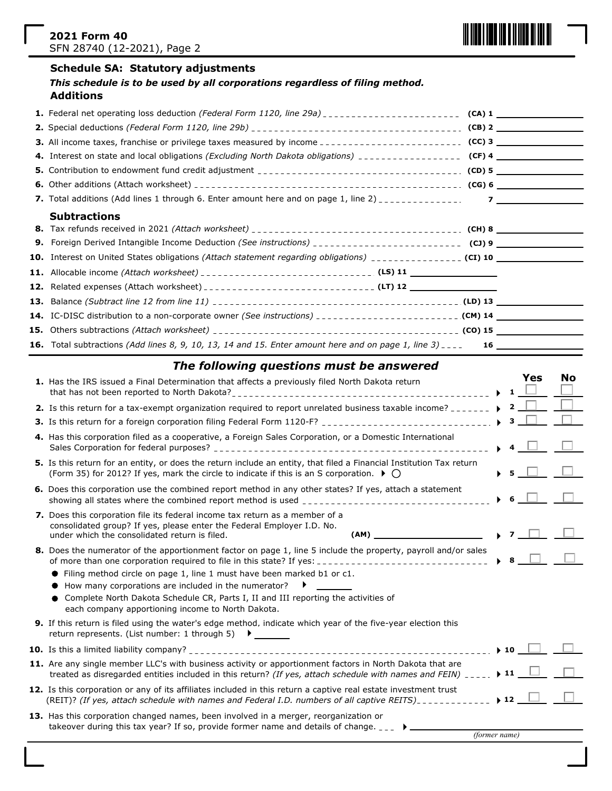

## **Schedule SA: Statutory adjustments**

| This schedule is to be used by all corporations regardless of filing method. |
|------------------------------------------------------------------------------|
| <b>Additions</b>                                                             |

| <b>Subtractions</b>                                                                                                         |  |  |
|-----------------------------------------------------------------------------------------------------------------------------|--|--|
|                                                                                                                             |  |  |
|                                                                                                                             |  |  |
|                                                                                                                             |  |  |
|                                                                                                                             |  |  |
|                                                                                                                             |  |  |
|                                                                                                                             |  |  |
|                                                                                                                             |  |  |
|                                                                                                                             |  |  |
| <b>16.</b> Total subtractions (Add lines 8, 9, 10, 13, 14 and 15. Enter amount here and on page 1, line 3) $\frac{1}{2}$ 16 |  |  |

# *The following questions must be answered*

| 1. Has the IRS issued a Final Determination that affects a previously filed North Dakota return                                                                                                                                       |                          | 1            | Yes | No |
|---------------------------------------------------------------------------------------------------------------------------------------------------------------------------------------------------------------------------------------|--------------------------|--------------|-----|----|
| 2. Is this return for a tax-exempt organization required to report unrelated business taxable income?                                                                                                                                 |                          | $\mathbf{2}$ |     |    |
|                                                                                                                                                                                                                                       |                          | $\mathbf{3}$ |     |    |
| 4. Has this corporation filed as a cooperative, a Foreign Sales Corporation, or a Domestic International                                                                                                                              |                          |              |     |    |
| 5. Is this return for an entity, or does the return include an entity, that filed a Financial Institution Tax return<br>(Form 35) for 2012? If yes, mark the circle to indicate if this is an S corporation. $\blacktriangleright$ () |                          |              |     |    |
| 6. Does this corporation use the combined report method in any other states? If yes, attach a statement                                                                                                                               |                          | -6           |     |    |
| 7. Does this corporation file its federal income tax return as a member of a<br>consolidated group? If yes, please enter the Federal Employer I.D. No.<br>under which the consolidated return is filed.<br>(AM)                       |                          |              |     |    |
| 8. Does the numerator of the apportionment factor on page 1, line 5 include the property, payroll and/or sales                                                                                                                        |                          |              |     |    |
| • Filing method circle on page 1, line 1 must have been marked b1 or c1.                                                                                                                                                              |                          |              |     |    |
| $\bullet$ How many corporations are included in the numerator? $\bullet$<br>• Complete North Dakota Schedule CR, Parts I, II and III reporting the activities of<br>each company apportioning income to North Dakota.                 |                          |              |     |    |
| <b>9.</b> If this return is filed using the water's edge method, indicate which year of the five-year election this<br>return represents. (List number: 1 through 5) ▶ _ _ _ _ _                                                      |                          |              |     |    |
|                                                                                                                                                                                                                                       | $\blacktriangleright$ 10 |              |     |    |
| 11. Are any single member LLC's with business activity or apportionment factors in North Dakota that are<br>treated as disregarded entities included in this return? (If yes, attach schedule with names and FEIN) _____.             | $\blacktriangleright$ 11 |              |     |    |
| 12. Is this corporation or any of its affiliates included in this return a captive real estate investment trust<br>(REIT)? (If yes, attach schedule with names and Federal I.D. numbers of all captive REITS)                         | $\blacktriangleright$ 12 |              |     |    |
| 13. Has this corporation changed names, been involved in a merger, reorganization or<br>takeover during this tax year? If so, provide former name and details of change. $\Box$                                                       |                          |              |     |    |
| (former name)                                                                                                                                                                                                                         |                          |              |     |    |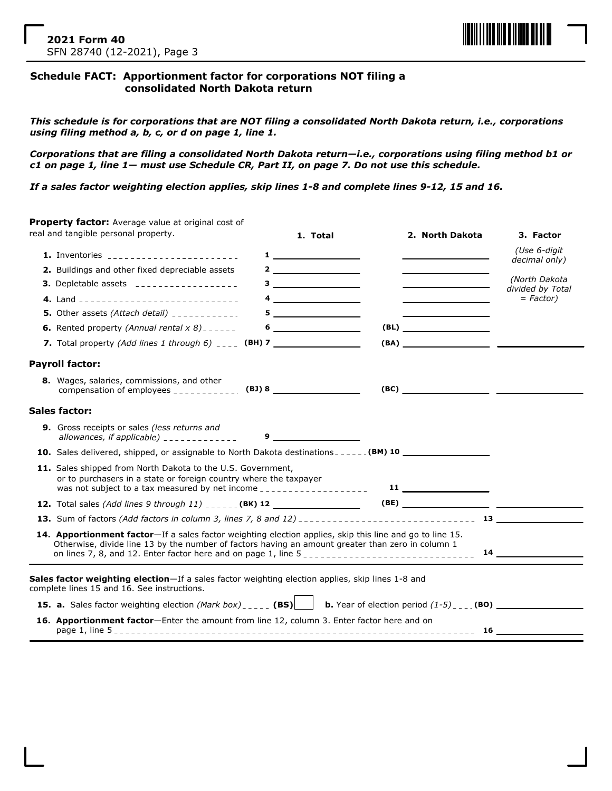

## **Schedule FACT: Apportionment factor for corporations NOT filing a consolidated North Dakota return**

*This schedule is for corporations that are NOT filing a consolidated North Dakota return, i.e., corporations using filing method a, b, c, or d on page 1, line 1.*

*Corporations that are filing a consolidated North Dakota return—i.e., corporations using filing method b1 or c1 on page 1, line 1— must use Schedule CR, Part II, on page 7. Do not use this schedule.*

*If a sales factor weighting election applies, skip lines 1-8 and complete lines 9-12, 15 and 16.*

| Property factor: Average value at original cost of                                                                                                                                                                                                                                            |                                                                                                                                                                                                                                                                                                                                                                                             |                                     |                               |
|-----------------------------------------------------------------------------------------------------------------------------------------------------------------------------------------------------------------------------------------------------------------------------------------------|---------------------------------------------------------------------------------------------------------------------------------------------------------------------------------------------------------------------------------------------------------------------------------------------------------------------------------------------------------------------------------------------|-------------------------------------|-------------------------------|
| real and tangible personal property.                                                                                                                                                                                                                                                          | 1. Total                                                                                                                                                                                                                                                                                                                                                                                    | 2. North Dakota                     | 3. Factor                     |
| 1. Inventories __________________________                                                                                                                                                                                                                                                     | $\mathbf 1$ and $\mathbf 1$ and $\mathbf 1$ and $\mathbf 1$ and $\mathbf 1$ and $\mathbf 1$ and $\mathbf 1$ and $\mathbf 1$ and $\mathbf 1$ and $\mathbf 1$ and $\mathbf 1$ and $\mathbf 1$ and $\mathbf 1$ and $\mathbf 1$ and $\mathbf 1$ and $\mathbf 1$ and $\mathbf 1$ and $\mathbf 1$ and $\mathbf $                                                                                  |                                     | (Use 6-digit<br>decimal only) |
| 2. Buildings and other fixed depreciable assets                                                                                                                                                                                                                                               | $\frac{2}{\sqrt{2}}$                                                                                                                                                                                                                                                                                                                                                                        |                                     | (North Dakota                 |
| 3. Depletable assets ___________________                                                                                                                                                                                                                                                      | $3 - 1$                                                                                                                                                                                                                                                                                                                                                                                     | <u> 1990 - Johann Barbara, mart</u> | divided by Total              |
| 4. Land ________________________________                                                                                                                                                                                                                                                      | $\begin{picture}(20,20) \put(0,0){\dashbox{0.5}(5,0){ }} \put(15,0){\circle{10}} \put(15,0){\circle{10}} \put(15,0){\circle{10}} \put(15,0){\circle{10}} \put(15,0){\circle{10}} \put(15,0){\circle{10}} \put(15,0){\circle{10}} \put(15,0){\circle{10}} \put(15,0){\circle{10}} \put(15,0){\circle{10}} \put(15,0){\circle{10}} \put(15,0){\circle{10}} \put(15,0){\circle{10}} \put(15,0$ |                                     | $= Factor$ )                  |
| 5. Other assets (Attach detail) $\frac{1}{2}$                                                                                                                                                                                                                                                 |                                                                                                                                                                                                                                                                                                                                                                                             |                                     |                               |
| <b>6.</b> Rented property (Annual rental $x$ 8) ______                                                                                                                                                                                                                                        | $6 \qquad \qquad$                                                                                                                                                                                                                                                                                                                                                                           | (BL)                                |                               |
| 7. Total property (Add lines 1 through 6) $\frac{1}{2}$ (BH) 7                                                                                                                                                                                                                                |                                                                                                                                                                                                                                                                                                                                                                                             |                                     |                               |
| <b>Payroll factor:</b>                                                                                                                                                                                                                                                                        |                                                                                                                                                                                                                                                                                                                                                                                             |                                     |                               |
| 8. Wages, salaries, commissions, and other<br>compensation of employees ______________ (BJ) 8 ________________________________                                                                                                                                                                |                                                                                                                                                                                                                                                                                                                                                                                             |                                     |                               |
| Sales factor:                                                                                                                                                                                                                                                                                 |                                                                                                                                                                                                                                                                                                                                                                                             |                                     |                               |
| <b>9.</b> Gross receipts or sales (less returns and<br>allowances, if applicable) $\frac{1}{2}$ - - - - - - - - - - - - - -                                                                                                                                                                   | $9 \left( \frac{1}{2} \right)$                                                                                                                                                                                                                                                                                                                                                              |                                     |                               |
| 10. Sales delivered, shipped, or assignable to North Dakota destinations ______ (BM) 10 __________________                                                                                                                                                                                    |                                                                                                                                                                                                                                                                                                                                                                                             |                                     |                               |
| 11. Sales shipped from North Dakota to the U.S. Government,<br>or to purchasers in a state or foreign country where the taxpayer<br>was not subject to a tax measured by net income ____________________                                                                                      |                                                                                                                                                                                                                                                                                                                                                                                             | $11$ $\overline{\phantom{1}}$       |                               |
| <b>12.</b> Total sales (Add lines 9 through $11$ ) $---$ (BK) 12 $---$                                                                                                                                                                                                                        |                                                                                                                                                                                                                                                                                                                                                                                             |                                     |                               |
|                                                                                                                                                                                                                                                                                               |                                                                                                                                                                                                                                                                                                                                                                                             |                                     |                               |
| 14. Apportionment factor-If a sales factor weighting election applies, skip this line and go to line 15.<br>Otherwise, divide line 13 by the number of factors having an amount greater than zero in column 1<br>on lines 7, 8, and 12. Enter factor here and on page 1, line $5_{\text{no}}$ |                                                                                                                                                                                                                                                                                                                                                                                             |                                     | $14 \quad \overline{\qquad}$  |
|                                                                                                                                                                                                                                                                                               |                                                                                                                                                                                                                                                                                                                                                                                             |                                     |                               |
| Sales factor weighting election-If a sales factor weighting election applies, skip lines 1-8 and<br>complete lines 15 and 16. See instructions.                                                                                                                                               |                                                                                                                                                                                                                                                                                                                                                                                             |                                     |                               |
| <b>15. a.</b> Sales factor weighting election (Mark box) _____ (BS)<br>b. Year of election period $(1-5)$ ____ (BO)                                                                                                                                                                           |                                                                                                                                                                                                                                                                                                                                                                                             |                                     |                               |
| 16. Apportionment factor-Enter the amount from line 12, column 3. Enter factor here and on                                                                                                                                                                                                    |                                                                                                                                                                                                                                                                                                                                                                                             |                                     |                               |
|                                                                                                                                                                                                                                                                                               |                                                                                                                                                                                                                                                                                                                                                                                             |                                     |                               |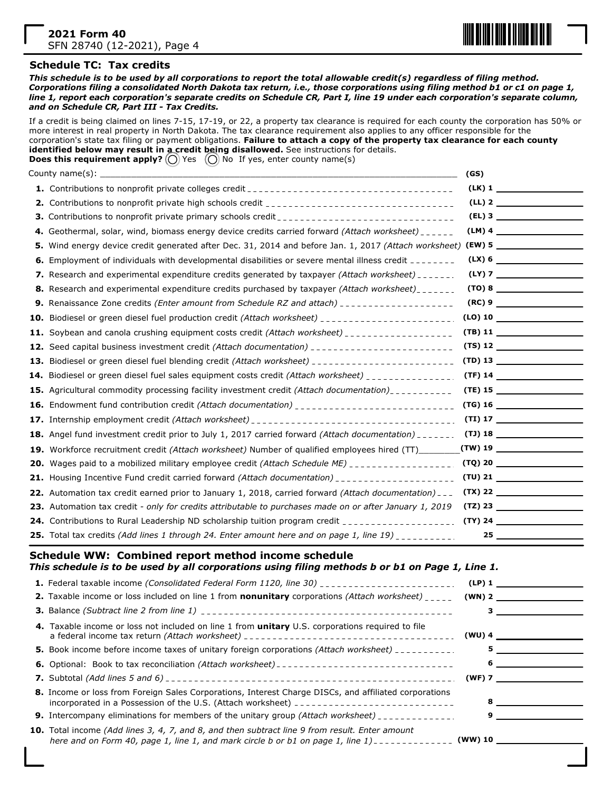

#### **Schedule TC: Tax credits**

*This schedule is to be used by all corporations to report the total allowable credit(s) regardless of filing method. Corporations filing a consolidated North Dakota tax return, i.e., those corporations using filing method b1 or c1 on page 1, line 1, report each corporation's separate credits on Schedule CR, Part I, line 19 under each corporation's separate column, and on Schedule CR, Part III - Tax Credits.*

If a credit is being claimed on lines 7-15, 17-19, or 22, a property tax clearance is required for each county the corporation has 50% or more interest in real property in North Dakota. The tax clearance requirement also applies to any officer responsible for the corporation's state tax filing or payment obligations. **Failure to attach a copy of the property tax clearance for each county identified below may result in a credit being disallowed.** See instructions for details. **Does this requirement apply?** (O) Yes (O) No If yes, enter county name(s)

|    |                                                                                                                | (GS) |                                             |
|----|----------------------------------------------------------------------------------------------------------------|------|---------------------------------------------|
|    |                                                                                                                |      | $(LK)$ 1                                    |
|    |                                                                                                                |      |                                             |
|    |                                                                                                                |      |                                             |
|    | 4. Geothermal, solar, wind, biomass energy device credits carried forward (Attach worksheet) _ _ _ _ _         |      |                                             |
| 5. | Wind energy device credit generated after Dec. 31, 2014 and before Jan. 1, 2017 (Attach worksheet) (EW) 5      |      |                                             |
|    | <b>6.</b> Employment of individuals with developmental disabilities or severe mental illness credit ________   |      | $(LX)$ 6                                    |
|    | 7. Research and experimental expenditure credits generated by taxpayer (Attach worksheet) ______.              |      |                                             |
|    | 8. Research and experimental expenditure credits purchased by taxpayer (Attach worksheet)                      |      |                                             |
|    | 9. Renaissance Zone credits (Enter amount from Schedule RZ and attach) ____________________                    |      | (RC) 9                                      |
|    |                                                                                                                |      |                                             |
|    | 11. Soybean and canola crushing equipment costs credit (Attach worksheet) __________________                   |      | $(TB)$ 11                                   |
|    |                                                                                                                |      |                                             |
|    | 13. Biodiesel or green diesel fuel blending credit (Attach worksheet) ______________________________           |      | $(TD)$ 13                                   |
|    | 14. Biodiesel or green diesel fuel sales equipment costs credit (Attach worksheet) ______________.             |      |                                             |
|    | <b>15.</b> Agricultural commodity processing facility investment credit (Attach documentation)                 |      | $(TE)$ 15                                   |
|    |                                                                                                                |      |                                             |
|    |                                                                                                                |      | $(TI)$ 17                                   |
|    | 18. Angel fund investment credit prior to July 1, 2017 carried forward (Attach documentation) ______.          |      |                                             |
|    | 19. Workforce recruitment credit (Attach worksheet) Number of qualified employees hired (TT)                   |      | $(TW)$ 19 $\qquad \qquad$                   |
|    | <b>20.</b> Wages paid to a mobilized military employee credit <i>(Attach Schedule ME)</i>                      |      | (TQ) 20                                     |
|    | 21. Housing Incentive Fund credit carried forward (Attach documentation) _____________________                 |      | $(TU)$ 21 $\qquad \qquad$                   |
|    | 22. Automation tax credit earned prior to January 1, 2018, carried forward (Attach documentation) _ _          |      | $(TX)$ 22                                   |
|    | 23. Automation tax credit - only for credits attributable to purchases made on or after January 1, 2019        |      |                                             |
|    | 24. Contributions to Rural Leadership ND scholarship tuition program credit __________________________________ |      | $(TY)$ 24                                   |
|    | 25. Total tax credits (Add lines 1 through 24. Enter amount here and on page 1, line 19) __________.           |      | $25$ and $\sim$ 25 and $\sim$ 25 and $\sim$ |

## **Schedule WW: Combined report method income schedule**

*This schedule is to be used by all corporations using filing methods b or b1 on Page 1, Line 1.*

| <b>1.</b> Federal taxable income (Consolidated Federal Form 1120, line 30) ________________________                                                                                                                    | (LP)1    |          |
|------------------------------------------------------------------------------------------------------------------------------------------------------------------------------------------------------------------------|----------|----------|
| <b>2.</b> Taxable income or loss included on line 1 from <b>nonunitary</b> corporations (Attach worksheet) $\frac{1}{2}$                                                                                               | $(WN)$ 2 |          |
|                                                                                                                                                                                                                        |          |          |
| 4. Taxable income or loss not included on line 1 from <b>unitary</b> U.S. corporations required to file                                                                                                                |          | $(WU)$ 4 |
| <b>5.</b> Book income before income taxes of unitary foreign corporations <i>(Attach worksheet)</i> ___________                                                                                                        |          |          |
|                                                                                                                                                                                                                        | 6        |          |
|                                                                                                                                                                                                                        | $(WF)$ 7 |          |
| 8. Income or loss from Foreign Sales Corporations, Interest Charge DISCs, and affiliated corporations<br>incorporated in a Possession of the U.S. (Attach worksheet) $\frac{1}{2}$                                     |          |          |
| <b>9.</b> Intercompany eliminations for members of the unitary group (Attach worksheet) ____________.                                                                                                                  |          |          |
| <b>10.</b> Total income (Add lines 3, 4, 7, and 8, and then subtract line 9 from result. Enter amount<br>here and on Form 40, page 1, line 1, and mark circle b or b1 on page 1, line 1) - - - - - - - - - - - (WW) 10 |          |          |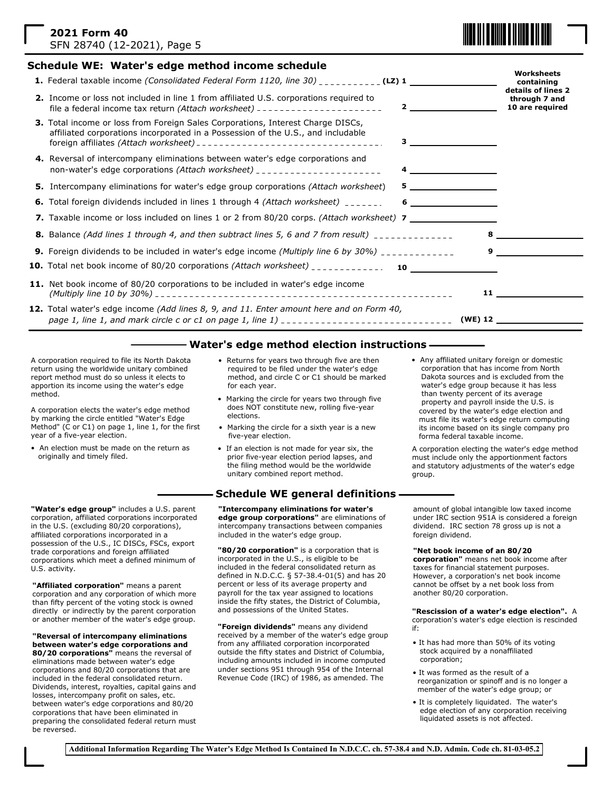| 2021 Form 40                |  |
|-----------------------------|--|
| SFN 28740 (12-2021), Page 5 |  |

## **Schedule WE: Water's edge method income schedule**

- **1.** Federal taxable income *(Consolidated Federal Form 1120, line 30)* \_\_\_\_\_\_\_\_\_\_\_ (LZ) 1 **2.** Income or loss not included in line 1 from affiliated U.S. corporations required to file a federal income tax return *(Attach worksheet)* **4.** Reversal of intercompany eliminations between water's edge corporations and non-water's edge corporations *(Attach worksheet)* **6.** Total foreign dividends included in lines 1 through 4 *(Attach worksheet)* **7.** Taxable income or loss included on lines 1 or 2 from 80/20 corps. *(Attach worksheet)* **7 8.** Balance *(Add lines 1 through 4, and then subtract lines 5, 6 and 7 from result)* **5 6 9.** Foreign dividends to be included in water's edge income *(Multiply line 6 by 30%)* **9 10.** Total net book income of 80/20 corporations *(Attach worksheet)* **10 11.** Net book income of 80/20 corporations to be included in water's edge income *(Multiply line 10 by 30%)* **11 Worksheets containing details of lines 2 through 7 and 10 are required 2 8 3.** Total income or loss from Foreign Sales Corporations, Interest Charge DISCs, affiliated corporations incorporated in a Possession of the U.S., and includable foreign affiliates *(Attach worksheet)* **3 4 5.** Intercompany eliminations for water's edge group corporations *(Attach worksheet*)
- **(WE) 12** *page 1, line 1, and mark circle c or c1 on page 1, line 1)* **12.** Total water's edge income *(Add lines 8, 9, and 11. Enter amount here and on Form 40,*

#### **Water's edge method election instructions**

A corporation required to file its North Dakota return using the worldwide unitary combined report method must do so unless it elects to apportion its income using the water's edge method.

A corporation elects the water's edge method by marking the circle entitled "Water's Edge Method" (C or C1) on page 1, line 1, for the first year of a five-year election.

- An election must be made on the return as originally and timely filed.
- Returns for years two through five are then required to be filed under the water's edge method, and circle C or C1 should be marked for each year.
- Marking the circle for years two through five does NOT constitute new, rolling five-year elections.
- Marking the circle for a sixth year is a new five-year election.
- If an election is not made for year six, the prior five-year election period lapses, and the filing method would be the worldwide unitary combined report method.

## **Schedule WE general definitions**

**"Intercompany eliminations for water's edge group corporations"** are eliminations of intercompany transactions between companies included in the water's edge group.

**"80/20 corporation"** is a corporation that is incorporated in the U.S., is eligible to be included in the federal consolidated return as defined in N.D.C.C. § 57-38.4-01(5) and has 20 percent or less of its average property and payroll for the tax year assigned to locations inside the fifty states, the District of Columbia, and possessions of the United States.

**"Foreign dividends"** means any dividend received by a member of the water's edge group from any affiliated corporation incorporated outside the fifty states and District of Columbia, including amounts included in income computed under sections 951 through 954 of the Internal Revenue Code (IRC) of 1986, as amended. The

• Any affiliated unitary foreign or domestic corporation that has income from North Dakota sources and is excluded from the water's edge group because it has less than twenty percent of its average property and payroll inside the U.S. is covered by the water's edge election and must file its water's edge return computing its income based on its single company pro forma federal taxable income.

A corporation electing the water's edge method must include only the apportionment factors and statutory adjustments of the water's edge group.

amount of global intangible low taxed income under IRC section 951A is considered a foreign dividend. IRC section 78 gross up is not a foreign dividend.

#### **"Net book income of an 80/20**

**corporation"** means net book income after taxes for financial statement purposes. However, a corporation's net book income cannot be offset by a net book loss from another 80/20 corporation.

#### **"Rescission of a water's edge election".** A

corporation's water's edge election is rescinded if:

- It has had more than 50% of its voting stock acquired by a nonaffiliated corporation;
- It was formed as the result of a reorganization or spinoff and is no longer a member of the water's edge group; or
- It is completely liquidated. The water's edge election of any corporation receiving liquidated assets is not affected.

**"Water's edge group"** includes a U.S. parent corporation, affiliated corporations incorporated in the U.S. (excluding 80/20 corporations), affiliated corporations incorporated in a possession of the U.S., IC DISCs, FSCs, export trade corporations and foreign affiliated corporations which meet a defined minimum of U.S. activity.

**"Affiliated corporation"** means a parent corporation and any corporation of which more than fifty percent of the voting stock is owned directly or indirectly by the parent corporation or another member of the water's edge group.

**"Reversal of intercompany eliminations between water's edge corporations and 80/20 corporations"** means the reversal of eliminations made between water's edge corporations and 80/20 corporations that are included in the federal consolidated return. Dividends, interest, royalties, capital gains and losses, intercompany profit on sales, etc. between water's edge corporations and 80/20 corporations that have been eliminated in preparing the consolidated federal return must be reversed.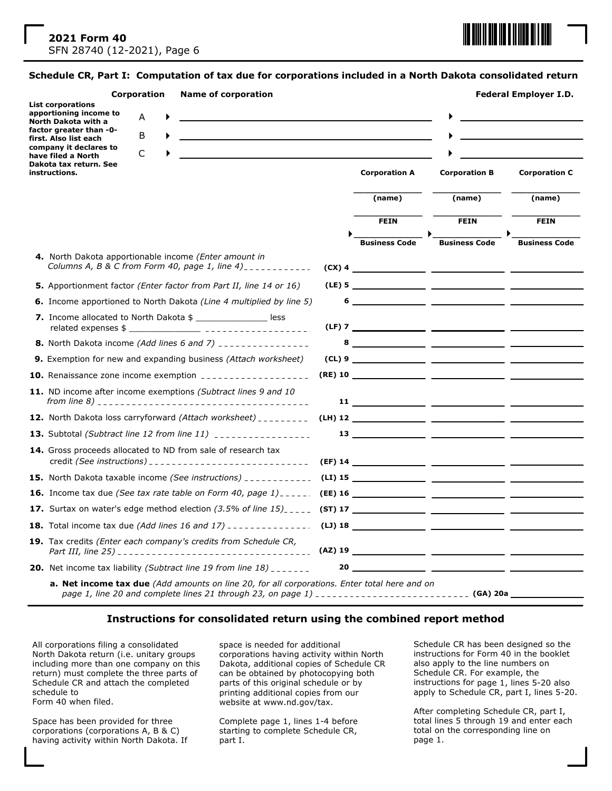

#### **Schedule CR, Part I: Computation of tax due for corporations included in a North Dakota consolidated return**

|                                                                                                   | <b>List corporations</b>                                                          | Corporation |   |  | <b>Name of corporation</b> |  |  |                      |                                                                                                                                                                                                      | <b>Federal Employer I.D.</b> |                      |                      |
|---------------------------------------------------------------------------------------------------|-----------------------------------------------------------------------------------|-------------|---|--|----------------------------|--|--|----------------------|------------------------------------------------------------------------------------------------------------------------------------------------------------------------------------------------------|------------------------------|----------------------|----------------------|
| apportioning income to<br>North Dakota with a<br>factor greater than -0-<br>first. Also list each |                                                                                   | A           |   |  |                            |  |  |                      |                                                                                                                                                                                                      |                              |                      |                      |
|                                                                                                   |                                                                                   |             | B |  |                            |  |  |                      |                                                                                                                                                                                                      |                              |                      |                      |
| company it declares to<br>C<br>have filed a North                                                 |                                                                                   |             |   |  |                            |  |  |                      |                                                                                                                                                                                                      |                              |                      |                      |
|                                                                                                   | Dakota tax return. See<br>instructions.                                           |             |   |  |                            |  |  | <b>Corporation A</b> |                                                                                                                                                                                                      | <b>Corporation B</b>         | <b>Corporation C</b> |                      |
|                                                                                                   |                                                                                   |             |   |  |                            |  |  |                      | (name)                                                                                                                                                                                               |                              | (name)               | (name)               |
|                                                                                                   |                                                                                   |             |   |  |                            |  |  |                      | <b>FEIN</b>                                                                                                                                                                                          |                              | <b>FEIN</b>          | <b>FEIN</b>          |
|                                                                                                   |                                                                                   |             |   |  |                            |  |  |                      |                                                                                                                                                                                                      |                              |                      |                      |
|                                                                                                   | 4. North Dakota apportionable income (Enter amount in                             |             |   |  |                            |  |  |                      | <b>Business Code</b>                                                                                                                                                                                 |                              | <b>Business Code</b> | <b>Business Code</b> |
|                                                                                                   | Columns A, B & C from Form 40, page 1, line 4)                                    |             |   |  |                            |  |  |                      |                                                                                                                                                                                                      |                              |                      |                      |
|                                                                                                   | 5. Apportionment factor (Enter factor from Part II, line 14 or 16)                |             |   |  |                            |  |  |                      |                                                                                                                                                                                                      |                              |                      |                      |
|                                                                                                   | <b>6.</b> Income apportioned to North Dakota <i>(Line 4 multiplied by line 5)</i> |             |   |  |                            |  |  | 6                    |                                                                                                                                                                                                      |                              |                      |                      |
|                                                                                                   | 7. Income allocated to North Dakota \$ _________________ less                     |             |   |  |                            |  |  |                      |                                                                                                                                                                                                      |                              |                      |                      |
|                                                                                                   | 8. North Dakota income (Add lines 6 and 7) ________________                       |             |   |  |                            |  |  |                      |                                                                                                                                                                                                      |                              |                      |                      |
|                                                                                                   | 9. Exemption for new and expanding business (Attach worksheet)                    |             |   |  |                            |  |  |                      |                                                                                                                                                                                                      |                              |                      |                      |
|                                                                                                   | 10. Renaissance zone income exemption ____________________                        |             |   |  |                            |  |  |                      |                                                                                                                                                                                                      |                              |                      |                      |
|                                                                                                   | 11. ND income after income exemptions (Subtract lines 9 and 10                    |             |   |  |                            |  |  |                      |                                                                                                                                                                                                      |                              |                      |                      |
|                                                                                                   | 12. North Dakota loss carryforward (Attach worksheet) _________                   |             |   |  |                            |  |  |                      |                                                                                                                                                                                                      |                              |                      | (LH) 12              |
|                                                                                                   | <b>13.</b> Subtotal <i>(Subtract line 12 from line 11)</i> __________________     |             |   |  |                            |  |  |                      |                                                                                                                                                                                                      |                              |                      |                      |
|                                                                                                   | 14. Gross proceeds allocated to ND from sale of research tax                      |             |   |  |                            |  |  |                      |                                                                                                                                                                                                      |                              |                      |                      |
|                                                                                                   |                                                                                   |             |   |  |                            |  |  |                      |                                                                                                                                                                                                      |                              |                      |                      |
|                                                                                                   |                                                                                   |             |   |  |                            |  |  |                      |                                                                                                                                                                                                      |                              |                      |                      |
|                                                                                                   |                                                                                   |             |   |  |                            |  |  |                      |                                                                                                                                                                                                      |                              |                      |                      |
|                                                                                                   |                                                                                   |             |   |  |                            |  |  |                      |                                                                                                                                                                                                      |                              |                      |                      |
|                                                                                                   | 19. Tax credits (Enter each company's credits from Schedule CR,                   |             |   |  |                            |  |  |                      |                                                                                                                                                                                                      |                              |                      |                      |
|                                                                                                   | <b>20.</b> Net income tax liability (Subtract line 19 from line $18$ ) _______    |             |   |  |                            |  |  |                      |                                                                                                                                                                                                      |                              |                      |                      |
|                                                                                                   |                                                                                   |             |   |  |                            |  |  |                      | a. Net income tax due (Add amounts on line 20, for all corporations. Enter total here and on<br>page 1, line 20 and complete lines 21 through 23, on page 1) ______________________________ (GA) 20a |                              |                      |                      |

### **Instructions for consolidated return using the combined report method**

All corporations filing a consolidated North Dakota return (i.e. unitary groups including more than one company on this return) must complete the three parts of Schedule CR and attach the completed schedule to Form 40 when filed.

Space has been provided for three corporations (corporations A, B & C) having activity within North Dakota. If space is needed for additional corporations having activity within North Dakota, additional copies of Schedule CR can be obtained by photocopying both parts of this original schedule or by printing additional copies from our website at www.nd.gov/tax.

Complete page 1, lines 1-4 before starting to complete Schedule CR, part I.

Schedule CR has been designed so the instructions for Form 40 in the booklet also apply to the line numbers on Schedule CR. For example, the instructions for page 1, lines 5-20 also apply to Schedule CR, part I, lines 5-20.

After completing Schedule CR, part I, total lines 5 through 19 and enter each total on the corresponding line on page 1.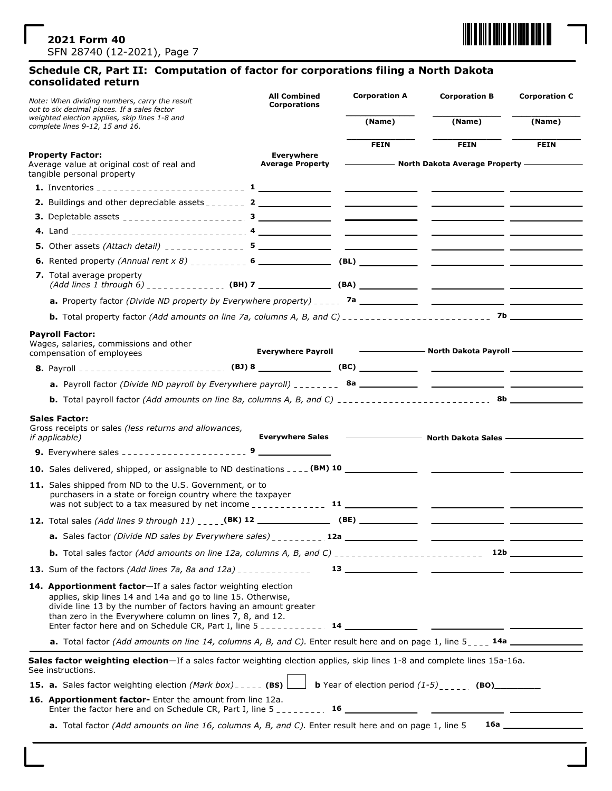

## **Schedule CR, Part II: Computation of factor for corporations filing a North Dakota consolidated return**

| Note: When dividing numbers, carry the result<br>out to six decimal places. If a sales factor                                                                                                                                                                  | <b>All Combined</b><br><b>Corporations</b>   | <b>Corporation A</b> | <b>Corporation B</b>                                                                                                                                                                                                               | <b>Corporation C</b> |
|----------------------------------------------------------------------------------------------------------------------------------------------------------------------------------------------------------------------------------------------------------------|----------------------------------------------|----------------------|------------------------------------------------------------------------------------------------------------------------------------------------------------------------------------------------------------------------------------|----------------------|
| weighted election applies, skip lines 1-8 and<br>complete lines 9-12, 15 and 16.                                                                                                                                                                               |                                              | (Name)               | (Name)                                                                                                                                                                                                                             | (Name)               |
|                                                                                                                                                                                                                                                                |                                              | <b>FEIN</b>          | <b>FEIN</b>                                                                                                                                                                                                                        | <b>FEIN</b>          |
| <b>Property Factor:</b><br>Average value at original cost of real and<br>tangible personal property                                                                                                                                                            | <b>Everywhere</b><br><b>Average Property</b> |                      | North Dakota Average Property ————                                                                                                                                                                                                 |                      |
|                                                                                                                                                                                                                                                                |                                              |                      |                                                                                                                                                                                                                                    |                      |
|                                                                                                                                                                                                                                                                |                                              |                      |                                                                                                                                                                                                                                    |                      |
|                                                                                                                                                                                                                                                                |                                              |                      |                                                                                                                                                                                                                                    |                      |
|                                                                                                                                                                                                                                                                |                                              |                      |                                                                                                                                                                                                                                    |                      |
|                                                                                                                                                                                                                                                                |                                              |                      |                                                                                                                                                                                                                                    |                      |
|                                                                                                                                                                                                                                                                |                                              |                      |                                                                                                                                                                                                                                    |                      |
| 7. Total average property                                                                                                                                                                                                                                      |                                              |                      |                                                                                                                                                                                                                                    |                      |
|                                                                                                                                                                                                                                                                |                                              |                      |                                                                                                                                                                                                                                    |                      |
|                                                                                                                                                                                                                                                                |                                              |                      |                                                                                                                                                                                                                                    |                      |
| <b>Payroll Factor:</b><br>Wages, salaries, commissions and other<br>compensation of employees                                                                                                                                                                  | <b>Everywhere Payroll</b>                    |                      | <b>North Dakota Payroll Constant Constant Constant Constant Constant Constant Constant Constant Constant Constant Constant Constant Constant Constant Constant Constant Constant Constant Constant Constant Constant Constant </b> |                      |
|                                                                                                                                                                                                                                                                |                                              |                      |                                                                                                                                                                                                                                    |                      |
|                                                                                                                                                                                                                                                                |                                              |                      |                                                                                                                                                                                                                                    |                      |
|                                                                                                                                                                                                                                                                |                                              |                      |                                                                                                                                                                                                                                    |                      |
| <b>Sales Factor:</b><br>Gross receipts or sales (less returns and allowances,<br><i>if applicable</i> )                                                                                                                                                        |                                              |                      |                                                                                                                                                                                                                                    |                      |
|                                                                                                                                                                                                                                                                |                                              |                      |                                                                                                                                                                                                                                    |                      |
|                                                                                                                                                                                                                                                                |                                              |                      |                                                                                                                                                                                                                                    |                      |
| 11. Sales shipped from ND to the U.S. Government, or to<br>purchasers in a state or foreign country where the taxpayer                                                                                                                                         |                                              |                      |                                                                                                                                                                                                                                    |                      |
| 12. Total sales (Add lines 9 through 11) _____(BK) 12 _______________(BE) _____________ ____________                                                                                                                                                           |                                              |                      |                                                                                                                                                                                                                                    |                      |
| a. Sales factor (Divide ND sales by Everywhere sales) _________ 12a ___                                                                                                                                                                                        |                                              |                      |                                                                                                                                                                                                                                    |                      |
|                                                                                                                                                                                                                                                                |                                              |                      |                                                                                                                                                                                                                                    |                      |
| <b>13.</b> Sum of the factors (Add lines 7a, 8a and $12a$ ) _____________                                                                                                                                                                                      |                                              |                      |                                                                                                                                                                                                                                    |                      |
| 14. Apportionment factor-If a sales factor weighting election<br>applies, skip lines 14 and 14a and go to line 15. Otherwise,<br>divide line 13 by the number of factors having an amount greater<br>than zero in the Everywhere column on lines 7, 8, and 12. |                                              |                      |                                                                                                                                                                                                                                    |                      |
| a. Total factor (Add amounts on line 14, columns A, B, and C). Enter result here and on page 1, line 5 <sub>----</sub> 14a                                                                                                                                     |                                              |                      |                                                                                                                                                                                                                                    |                      |
| Sales factor weighting election-If a sales factor weighting election applies, skip lines 1-8 and complete lines 15a-16a.<br>See instructions.                                                                                                                  |                                              |                      |                                                                                                                                                                                                                                    |                      |
| <b>15. a.</b> Sales factor weighting election (Mark box) _____ (BS) b Year of election period $(1-5)$ _____ (BO) _______                                                                                                                                       |                                              |                      |                                                                                                                                                                                                                                    |                      |
| 16. Apportionment factor- Enter the amount from line 12a.                                                                                                                                                                                                      |                                              |                      |                                                                                                                                                                                                                                    |                      |
| a. Total factor (Add amounts on line 16, columns A, B, and C). Enter result here and on page 1, line 5                                                                                                                                                         |                                              |                      |                                                                                                                                                                                                                                    |                      |